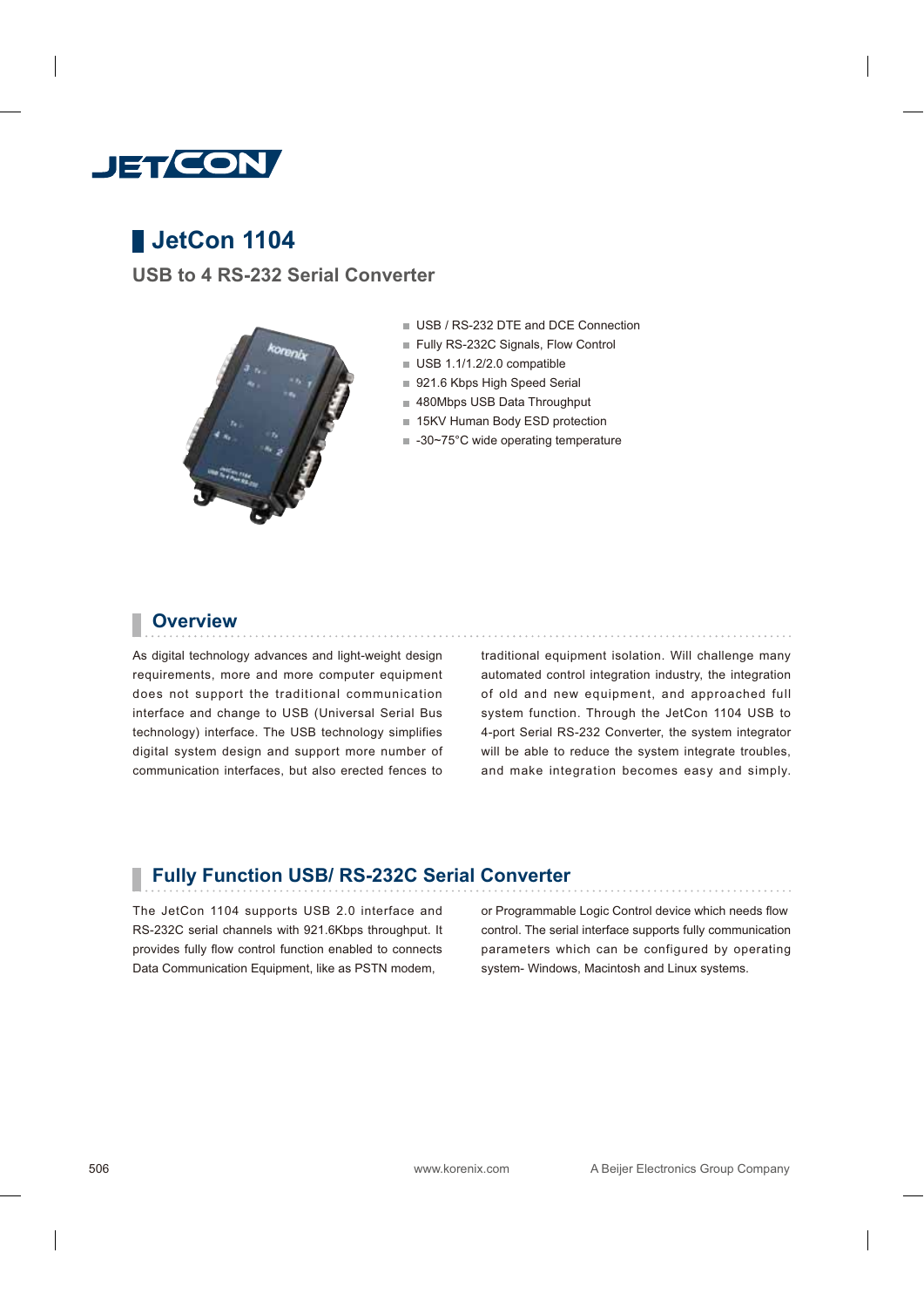

# **JetCon 1104**

**USB to 4 RS-232 Serial Converter**



- USB / RS-232 DTE and DCE Connection
- Fully RS-232C Signals, Flow Control
- USB 1.1/1.2/2.0 compatible
- 921.6 Kbps High Speed Serial
- 480Mbps USB Data Throughput
- 15KV Human Body ESD protection
- -30~75°C wide operating temperature

#### **Overview**

As digital technology advances and light-weight design requirements, more and more computer equipment does not support the traditional communication interface and change to USB (Universal Serial Bus technology) interface. The USB technology simplifies digital system design and support more number of communication interfaces, but also erected fences to

traditional equipment isolation. Will challenge many automated control integration industry, the integration of old and new equipment, and approached full system function. Through the JetCon 1104 USB to 4-port Serial RS-232 Converter, the system integrator will be able to reduce the system integrate troubles, and make integration becomes easy and simply.

#### **Fully Function USB/ RS-232C Serial Converter**

The JetCon 1104 supports USB 2.0 interface and RS-232C serial channels with 921.6Kbps throughput. It provides fully flow control function enabled to connects Data Communication Equipment, like as PSTN modem,

or Programmable Logic Control device which needs flow control. The serial interface supports fully communication parameters which can be configured by operating system- Windows, Macintosh and Linux systems.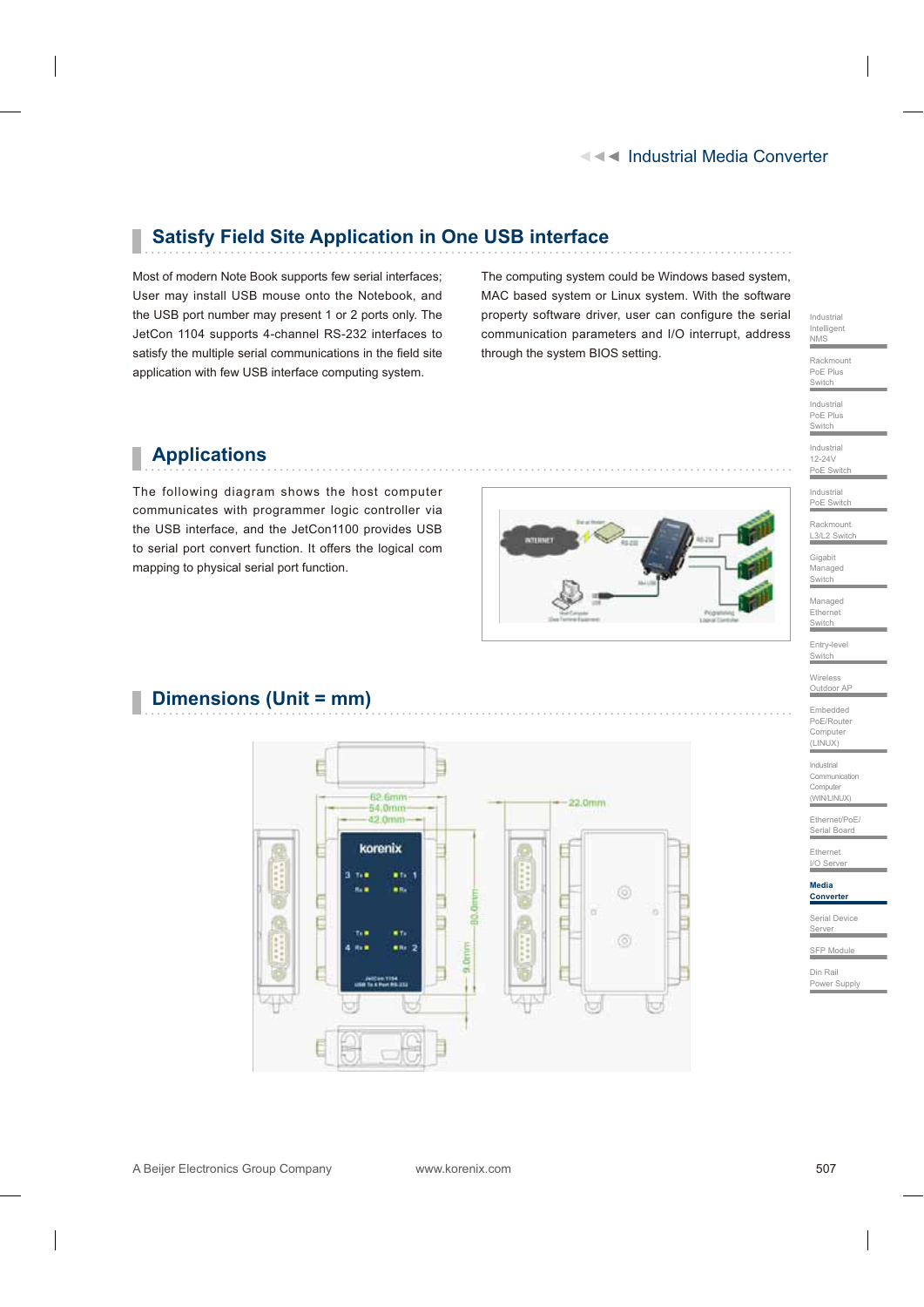#### Industrial Media Converter

# **Satisfy Field Site Application in One USB interface**

Most of modern Note Book supports few serial interfaces; User may install USB mouse onto the Notebook, and the USB port number may present 1 or 2 ports only. The JetCon 1104 supports 4-channel RS-232 interfaces to satisfy the multiple serial communications in the field site application with few USB interface computing system.

The computing system could be Windows based system, MAC based system or Linux system. With the software property software driver, user can configure the serial communication parameters and I/O interrupt, address through the system BIOS setting.



Rackmount PoE Plus Switch Industrial PoE Plus **Switch** Industrial 12-24V PoE Switch

## **Applications**

The following diagram shows the host computer communicates with programmer logic controller via the USB interface, and the JetCon1100 provides USB to serial port convert function. It offers the logical com mapping to physical serial port function.



Industrial PoE Switch Rackmount L3/L2 Switch

Gigabit Managed Switch Managed

Ethernet Switch Entry-level

Switch **Wireless** Outdoor AP

Embedded PoE/Route Computer (LINUX)

Industrial Communication Computer

(WIN/LINUX)

Ethernet/PoE/ Serial Board

Ethernet ∟anomot<br>I/O Serve

**Media Converte** 

Serial Device

Server

SFP Modu

Din Rail Power Supply

### **Dimensions (Unit = mm)**



A Beijer Electronics Group Company www.korenix.com

507